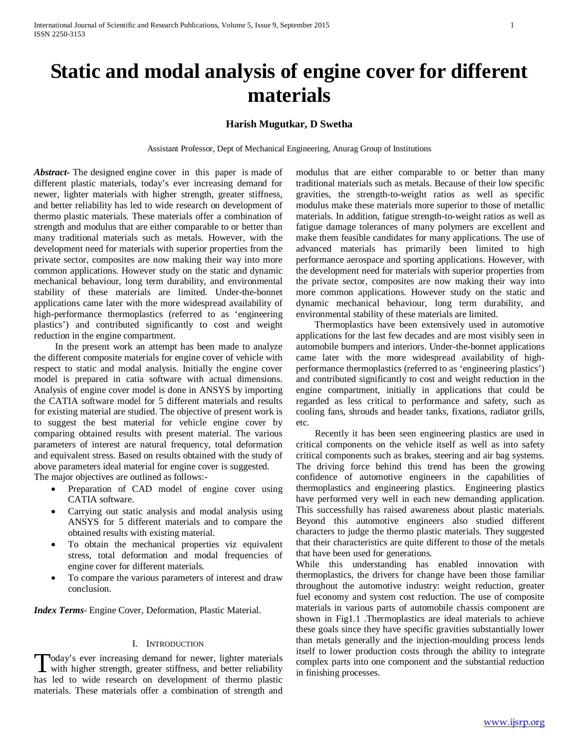# **Harish Mugutkar, D Swetha**

Assistant Professor, Dept of Mechanical Engineering, Anurag Group of Institutions

*Abstract***-** The designed engine cover in this paper is made of different plastic materials, today's ever increasing demand for newer, lighter materials with higher strength, greater stiffness, and better reliability has led to wide research on development of thermo plastic materials. These materials offer a combination of strength and modulus that are either comparable to or better than many traditional materials such as metals. However, with the development need for materials with superior properties from the private sector, composites are now making their way into more common applications. However study on the static and dynamic mechanical behaviour, long term durability, and environmental stability of these materials are limited. Under-the-bonnet applications came later with the more widespread availability of high-performance thermoplastics (referred to as 'engineering plastics') and contributed significantly to cost and weight reduction in the engine compartment.

 In the present work an attempt has been made to analyze the different composite materials for engine cover of vehicle with respect to static and modal analysis. Initially the engine cover model is prepared in catia software with actual dimensions. Analysis of engine cover model is done in ANSYS by importing the CATIA software model for 5 different materials and results for existing material are studied. The objective of present work is to suggest the best material for vehicle engine cover by comparing obtained results with present material. The various parameters of interest are natural frequency, total deformation and equivalent stress. Based on results obtained with the study of above parameters ideal material for engine cover is suggested.

The major objectives are outlined as follows:-

- Preparation of CAD model of engine cover using CATIA software.
- Carrying out static analysis and modal analysis using ANSYS for 5 different materials and to compare the obtained results with existing material.
- To obtain the mechanical properties viz equivalent stress, total deformation and modal frequencies of engine cover for different materials.
- To compare the various parameters of interest and draw conclusion.

*Index Terms*- Engine Cover, Deformation, Plastic Material.

#### I. INTRODUCTION

oday's ever increasing demand for newer, lighter materials with higher strength, greater stiffness, and better reliability has led to wide research on development of thermo plastic materials. These materials offer a combination of strength and modulus that are either comparable to or better than many traditional materials such as metals. Because of their low specific gravities, the strength-to-weight ratios as well as specific modulus make these materials more superior to those of metallic materials. In addition, fatigue strength-to-weight ratios as well as fatigue damage tolerances of many polymers are excellent and make them feasible candidates for many applications. The use of advanced materials has primarily been limited to high performance aerospace and sporting applications. However, with the development need for materials with superior properties from the private sector, composites are now making their way into more common applications. However study on the static and dynamic mechanical behaviour, long term durability, and environmental stability of these materials are limited.

 Thermoplastics have been extensively used in automotive applications for the last few decades and are most visibly seen in automobile bumpers and interiors. Under-the-bonnet applications came later with the more widespread availability of highperformance thermoplastics (referred to as 'engineering plastics') and contributed significantly to cost and weight reduction in the engine compartment, initially in applications that could be regarded as less critical to performance and safety, such as cooling fans, shrouds and header tanks, fixations, radiator grills, etc.

 Recently it has been seen engineering plastics are used in critical components on the vehicle itself as well as into safety critical components such as brakes, steering and air bag systems. The driving force behind this trend has been the growing confidence of automotive engineers in the capabilities of thermoplastics and engineering plastics. Engineering plastics have performed very well in each new demanding application. This successfully has raised awareness about plastic materials. Beyond this automotive engineers also studied different characters to judge the thermo plastic materials. They suggested that their characteristics are quite different to those of the metals that have been used for generations.

While this understanding has enabled innovation with thermoplastics, the drivers for change have been those familiar throughout the automotive industry: weight reduction, greater fuel economy and system cost reduction. The use of composite materials in various parts of automobile chassis component are shown in Fig1.1 .Thermoplastics are ideal materials to achieve these goals since they have specific gravities substantially lower than metals generally and the injection-moulding process lends itself to lower production costs through the ability to integrate complex parts into one component and the substantial reduction in finishing processes.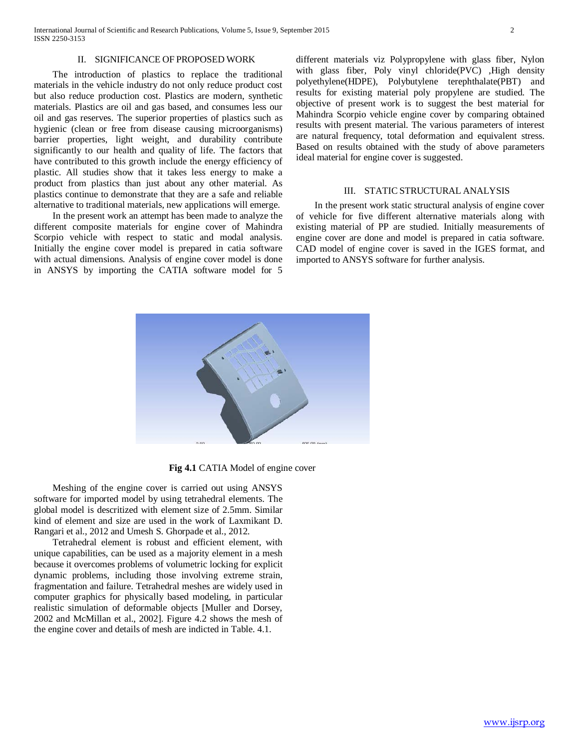#### II. SIGNIFICANCE OF PROPOSED WORK

 The introduction of plastics to replace the traditional materials in the vehicle industry do not only reduce product cost but also reduce production cost. Plastics are modern, synthetic materials. Plastics are oil and gas based, and consumes less our oil and gas reserves. The superior properties of plastics such as hygienic (clean or free from disease causing microorganisms) barrier properties, light weight, and durability contribute significantly to our health and quality of life. The factors that have contributed to this growth include the energy efficiency of plastic. All studies show that it takes less energy to make a product from plastics than just about any other material. As plastics continue to demonstrate that they are a safe and reliable alternative to traditional materials, new applications will emerge.

 In the present work an attempt has been made to analyze the different composite materials for engine cover of Mahindra Scorpio vehicle with respect to static and modal analysis. Initially the engine cover model is prepared in catia software with actual dimensions. Analysis of engine cover model is done in ANSYS by importing the CATIA software model for 5

different materials viz Polypropylene with glass fiber, Nylon with glass fiber, Poly vinyl chloride(PVC) ,High density polyethylene(HDPE), Polybutylene terephthalate(PBT) and results for existing material poly propylene are studied. The objective of present work is to suggest the best material for Mahindra Scorpio vehicle engine cover by comparing obtained results with present material. The various parameters of interest are natural frequency, total deformation and equivalent stress. Based on results obtained with the study of above parameters ideal material for engine cover is suggested.

#### III. STATIC STRUCTURAL ANALYSIS

 In the present work static structural analysis of engine cover of vehicle for five different alternative materials along with existing material of PP are studied. Initially measurements of engine cover are done and model is prepared in catia software. CAD model of engine cover is saved in the IGES format, and imported to ANSYS software for further analysis.



**Fig 4.1** CATIA Model of engine cover

 Meshing of the engine cover is carried out using ANSYS software for imported model by using tetrahedral elements. The global model is descritized with element size of 2.5mm. Similar kind of element and size are used in the work of Laxmikant D. Rangari et al., 2012 and Umesh S. Ghorpade et al., 2012.

 Tetrahedral element is robust and efficient element, with unique capabilities, can be used as a majority element in a mesh because it overcomes problems of volumetric locking for explicit dynamic problems, including those involving extreme strain, fragmentation and failure. Tetrahedral meshes are widely used in computer graphics for physically based modeling, in particular realistic simulation of deformable objects [Muller and Dorsey, 2002 and McMillan et al., 2002]. Figure 4.2 shows the mesh of the engine cover and details of mesh are indicted in Table. 4.1.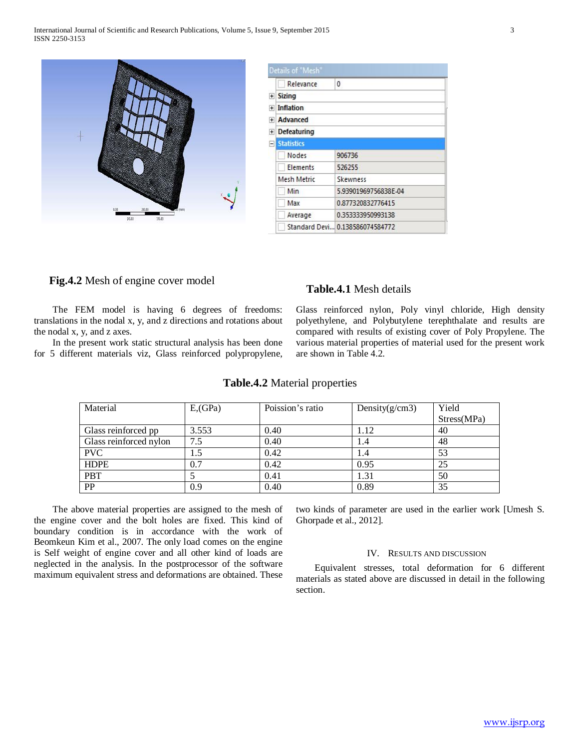

| Relevance          | 0                               |  |  |
|--------------------|---------------------------------|--|--|
| <b>Sizing</b>      |                                 |  |  |
| <b>Inflation</b>   |                                 |  |  |
| <b>Advanced</b>    |                                 |  |  |
| <b>Defeaturing</b> |                                 |  |  |
| <b>Statistics</b>  |                                 |  |  |
| Nodes              | 906736                          |  |  |
| Elements           | 526255                          |  |  |
| Mesh Metric        | <b>Skewness</b>                 |  |  |
| Min                | 5.93901969756838E-04            |  |  |
| Max                | 0.877320832776415               |  |  |
| Average            | 0.353333950993138               |  |  |
|                    | Standard Devi 0.138586074584772 |  |  |

# **Fig.4.2** Mesh of engine cover model **Table.4.1** Mesh details

 The FEM model is having 6 degrees of freedoms: translations in the nodal x, y, and z directions and rotations about the nodal x, y, and z axes.

 In the present work static structural analysis has been done for 5 different materials viz, Glass reinforced polypropylene,

Glass reinforced nylon, Poly vinyl chloride, High density polyethylene, and Polybutylene terephthalate and results are compared with results of existing cover of Poly Propylene. The various material properties of material used for the present work are shown in Table 4.2.

| Material               | $E$ <sub>,</sub> $GPa$ ) | Poission's ratio | Density $(g/cm3)$ | Yield       |
|------------------------|--------------------------|------------------|-------------------|-------------|
|                        |                          |                  |                   | Stress(MPa) |
| Glass reinforced pp    | 3.553                    | 0.40             | 1.12              | 40          |
| Glass reinforced nylon | 7.5                      | 0.40             | 1.4               | 48          |
| <b>PVC</b>             | 1.5                      | 0.42             | 1.4               | 53          |
| <b>HDPE</b>            | 0.7                      | 0.42             | 0.95              | 25          |
| <b>PBT</b>             |                          | 0.41             | 1.31              | 50          |
| PP                     | 0.9                      | 0.40             | 0.89              | 35          |

### **Table.4.2** Material properties

 The above material properties are assigned to the mesh of the engine cover and the bolt holes are fixed. This kind of boundary condition is in accordance with the work of Beomkeun Kim et al., 2007. The only load comes on the engine is Self weight of engine cover and all other kind of loads are neglected in the analysis. In the postprocessor of the software maximum equivalent stress and deformations are obtained. These two kinds of parameter are used in the earlier work [Umesh S. Ghorpade et al., 2012].

## IV. RESULTS AND DISCUSSION

 Equivalent stresses, total deformation for 6 different materials as stated above are discussed in detail in the following section.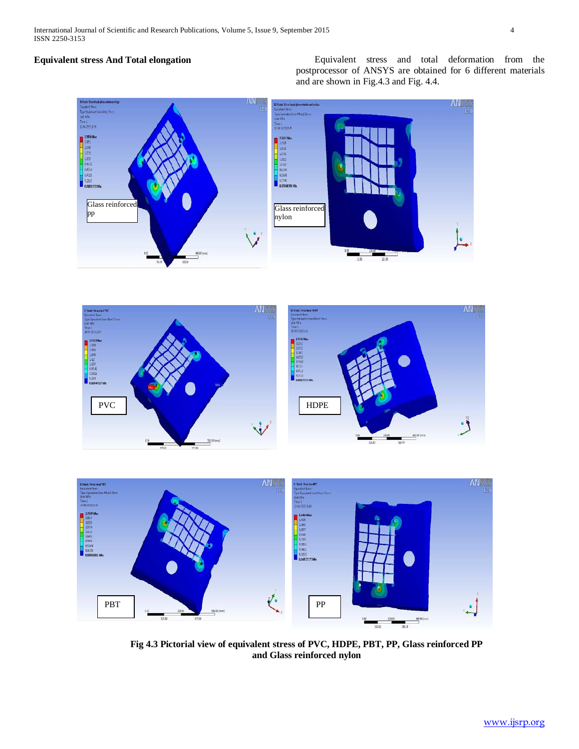**Equivalent stress And Total elongation** Equivalent stress and total deformation from the postprocessor of ANSYS are obtained for 6 different materials and are shown in Fig.4.3 and Fig. 4.4.







**Fig 4.3 Pictorial view of equivalent stress of PVC, HDPE, PBT, PP, Glass reinforced PP and Glass reinforced nylon**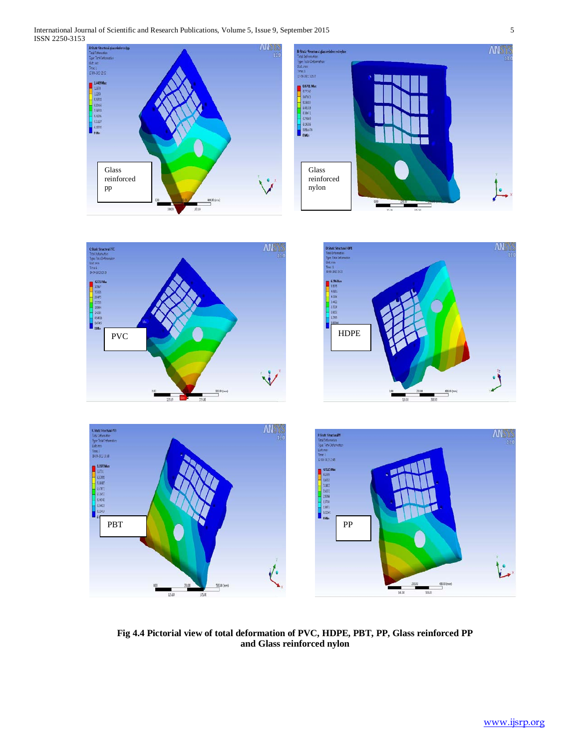

**Fig 4.4 Pictorial view of total deformation of PVC, HDPE, PBT, PP, Glass reinforced PP and Glass reinforced nylon**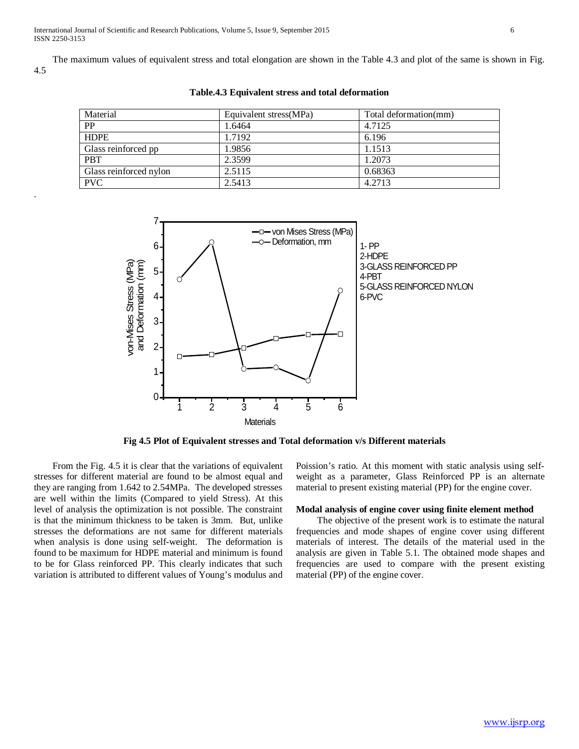.

 The maximum values of equivalent stress and total elongation are shown in the Table 4.3 and plot of the same is shown in Fig. 4.5

| Material               | Equivalent stress (MPa) | Total deformation(mm) |
|------------------------|-------------------------|-----------------------|
| <b>PP</b>              | 1.6464                  | 4.7125                |
| <b>HDPE</b>            | 1.7192                  | 6.196                 |
| Glass reinforced pp    | 1.9856                  | 1.1513                |
| <b>PBT</b>             | 2.3599                  | 1.2073                |
| Glass reinforced nylon | 2.5115                  | 0.68363               |
| <b>PVC</b>             | 2.5413                  | 4.2713                |

**Table.4.3 Equivalent stress and total deformation**



**Fig 4.5 Plot of Equivalent stresses and Total deformation v/s Different materials**

 From the Fig. 4.5 it is clear that the variations of equivalent stresses for different material are found to be almost equal and they are ranging from 1.642 to 2.54MPa. The developed stresses are well within the limits (Compared to yield Stress). At this level of analysis the optimization is not possible. The constraint is that the minimum thickness to be taken is 3mm. But, unlike stresses the deformations are not same for different materials when analysis is done using self-weight. The deformation is found to be maximum for HDPE material and minimum is found to be for Glass reinforced PP. This clearly indicates that such variation is attributed to different values of Young's modulus and Poission's ratio. At this moment with static analysis using selfweight as a parameter, Glass Reinforced PP is an alternate material to present existing material (PP) for the engine cover.

### **Modal analysis of engine cover using finite element method**

 The objective of the present work is to estimate the natural frequencies and mode shapes of engine cover using different materials of interest. The details of the material used in the analysis are given in Table 5.1. The obtained mode shapes and frequencies are used to compare with the present existing material (PP) of the engine cover.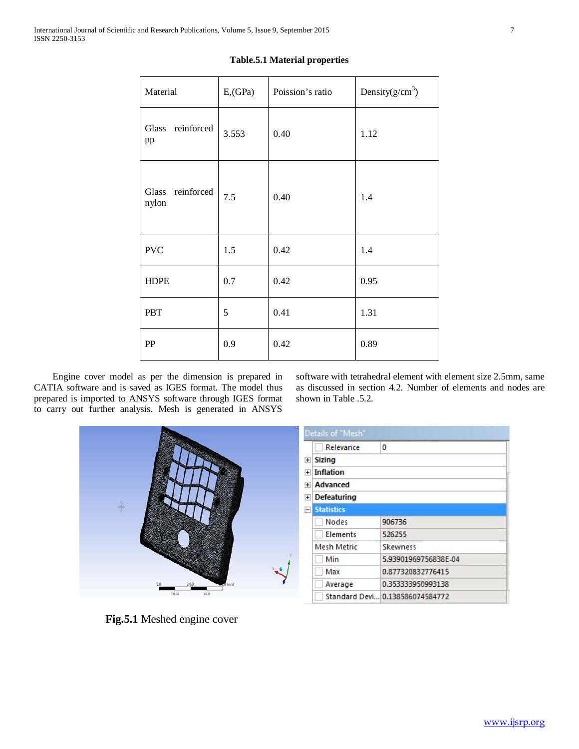| Material                  | $E$ <sub>,</sub> $GPa$ ) | Poission's ratio | Density $(g/cm^3)$ |
|---------------------------|--------------------------|------------------|--------------------|
| Glass reinforced<br>pp    | 3.553                    | 0.40             | 1.12               |
| Glass reinforced<br>nylon | 7.5                      | 0.40             | 1.4                |
| <b>PVC</b>                | 1.5                      | 0.42             | 1.4                |
| <b>HDPE</b>               | 0.7                      | 0.42             | 0.95               |
| <b>PBT</b>                | 5                        | 0.41             | 1.31               |
| PP                        | 0.9                      | 0.42             | 0.89               |

#### **Table.5.1 Material properties**

 Engine cover model as per the dimension is prepared in CATIA software and is saved as IGES format. The model thus prepared is imported to ANSYS software through IGES format to carry out further analysis. Mesh is generated in ANSYS

software with tetrahedral element with element size 2.5mm, same as discussed in section 4.2. Number of elements and nodes are shown in Table .5.2.



 **Fig.5.1** Meshed engine cover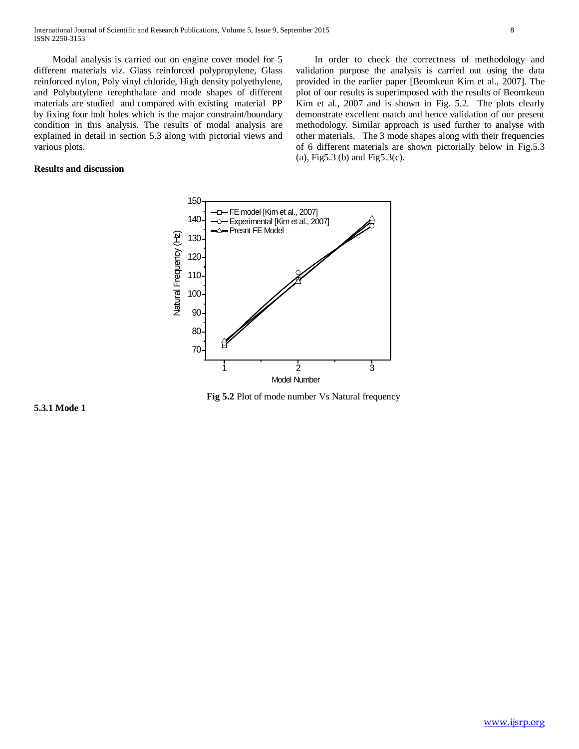Modal analysis is carried out on engine cover model for 5 different materials viz. Glass reinforced polypropylene, Glass reinforced nylon, Poly vinyl chloride, High density polyethylene, and Polybutylene terephthalate and mode shapes of different materials are studied and compared with existing material PP by fixing four bolt holes which is the major constraint/boundary condition in this analysis. The results of modal analysis are explained in detail in section 5.3 along with pictorial views and various plots.

## **Results and discussion**

 In order to check the correctness of methodology and validation purpose the analysis is carried out using the data provided in the earlier paper [Beomkeun Kim et al., 2007]. The plot of our results is superimposed with the results of Beomkeun Kim et al., 2007 and is shown in Fig. 5.2. The plots clearly demonstrate excellent match and hence validation of our present methodology. Similar approach is used further to analyse with other materials. The 3 mode shapes along with their frequencies of 6 different materials are shown pictorially below in Fig.5.3 (a), Fig5.3 (b) and Fig5.3(c).



**Fig 5.2** Plot of mode number Vs Natural frequency

**5.3.1 Mode 1**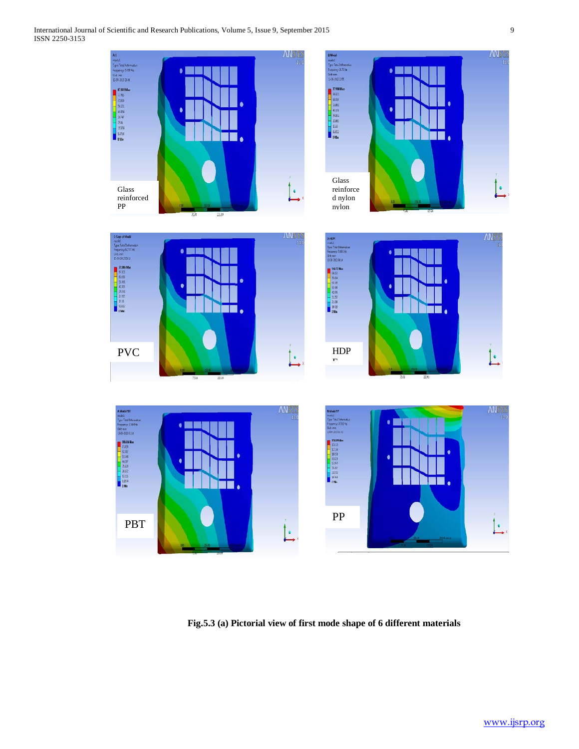

**Fig.5.3 (a) Pictorial view of first mode shape of 6 different materials**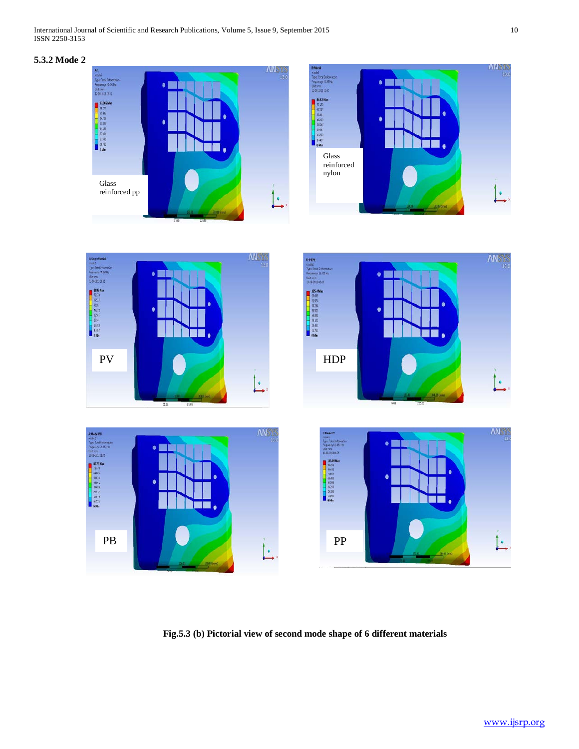# **5.3.2 Mode 2**



**Fig.5.3 (b) Pictorial view of second mode shape of 6 different materials**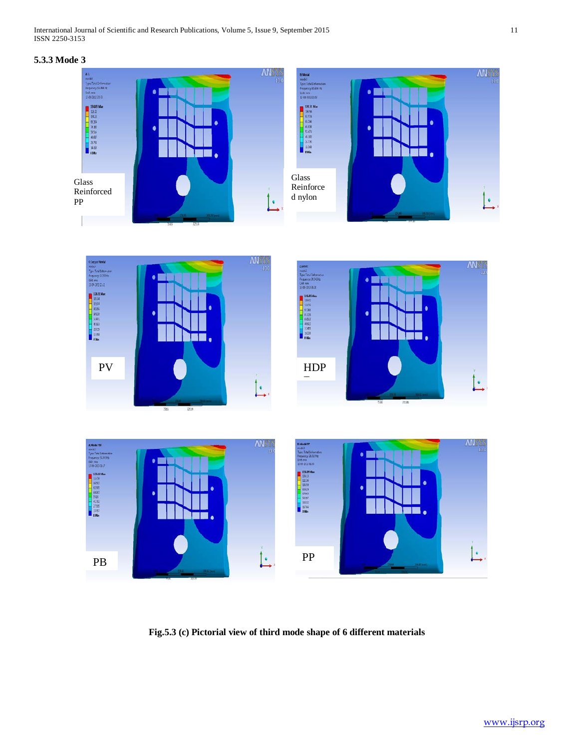# **5.3.3 Mode 3**



**Fig.5.3 (c) Pictorial view of third mode shape of 6 different materials**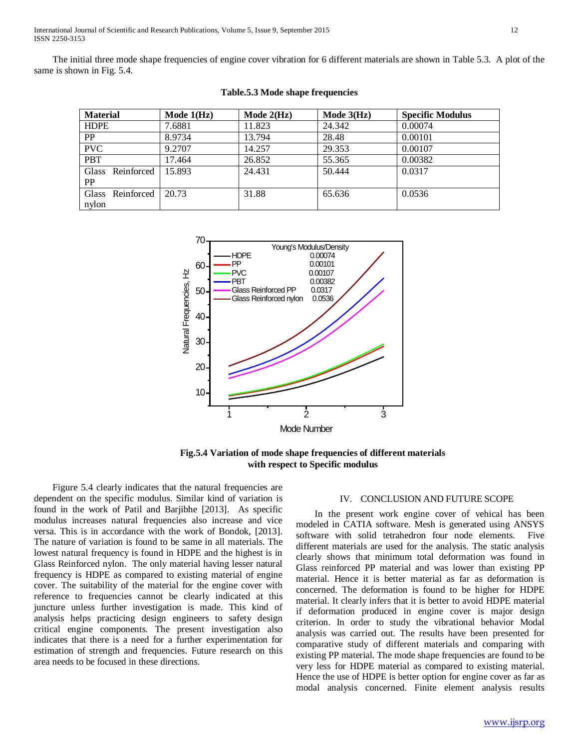The initial three mode shape frequencies of engine cover vibration for 6 different materials are shown in Table 5.3. A plot of the same is shown in Fig. 5.4.

| <b>Material</b>           | Mode $1(Hz)$ | Mode $2(Hz)$ | Mode $3(Hz)$ | <b>Specific Modulus</b> |
|---------------------------|--------------|--------------|--------------|-------------------------|
| <b>HDPE</b>               | 7.6881       | 11.823       | 24.342       | 0.00074                 |
| PP                        | 8.9734       | 13.794       | 28.48        | 0.00101                 |
| <b>PVC</b>                | 9.2707       | 14.257       | 29.353       | 0.00107                 |
| <b>PBT</b>                | 17.464       | 26.852       | 55.365       | 0.00382                 |
| Glass Reinforced<br>PP    | 15.893       | 24.431       | 50.444       | 0.0317                  |
| Glass Reinforced<br>nylon | 20.73        | 31.88        | 65.636       | 0.0536                  |

**Table.5.3 Mode shape frequencies**



**Fig.5.4 Variation of mode shape frequencies of different materials with respect to Specific modulus**

Figure 5.4 clearly indicates that the natural frequencies are dependent on the specific modulus. Similar kind of variation is found in the work of Patil and Barjibhe [2013]. As specific modulus increases natural frequencies also increase and vice versa. This is in accordance with the work of Bondok, [2013]. The nature of variation is found to be same in all materials. The lowest natural frequency is found in HDPE and the highest is in Glass Reinforced nylon. The only material having lesser natural frequency is HDPE as compared to existing material of engine cover. The suitability of the material for the engine cover with reference to frequencies cannot be clearly indicated at this juncture unless further investigation is made. This kind of analysis helps practicing design engineers to safety design critical engine components. The present investigation also indicates that there is a need for a further experimentation for estimation of strength and frequencies. Future research on this area needs to be focused in these directions.

#### IV. CONCLUSION AND FUTURE SCOPE

 In the present work engine cover of vehical has been modeled in CATIA software. Mesh is generated using ANSYS software with solid tetrahedron four node elements. Five different materials are used for the analysis. The static analysis clearly shows that minimum total deformation was found in Glass reinforced PP material and was lower than existing PP material. Hence it is better material as far as deformation is concerned. The deformation is found to be higher for HDPE material. It clearly infers that it is better to avoid HDPE material if deformation produced in engine cover is major design criterion. In order to study the vibrational behavior Modal analysis was carried out. The results have been presented for comparative study of different materials and comparing with existing PP material. The mode shape frequencies are found to be very less for HDPE material as compared to existing material. Hence the use of HDPE is better option for engine cover as far as modal analysis concerned. Finite element analysis results